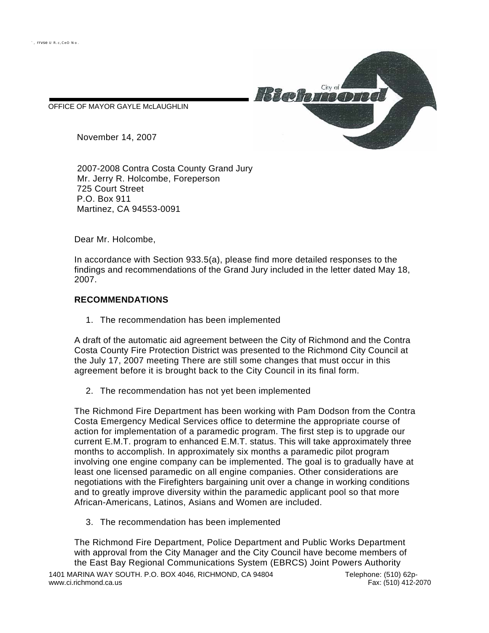OFFICE OF MAYOR GAYLE McLAUGHLIN



November 14, 2007

2007-2008 Contra Costa County Grand Jury Mr. Jerry R. Holcombe, Foreperson 725 Court Street P.O. Box 911 Martinez, CA 94553-0091

Dear Mr. Holcombe,

In accordance with Section 933.5(a), please find more detailed responses to the findings and recommendations of the Grand Jury included in the letter dated May 18, 2007.

## **RECOMMENDATIONS**

1. The recommendation has been implemented

A draft of the automatic aid agreement between the City of Richmond and the Contra Costa County Fire Protection District was presented to the Richmond City Council at the July 17, 2007 meeting There are still some changes that must occur in this agreement before it is brought back to the City Council in its final form.

2. The recommendation has not yet been implemented

The Richmond Fire Department has been working with Pam Dodson from the Contra Costa Emergency Medical Services office to determine the appropriate course of action for implementation of a paramedic program. The first step is to upgrade our current E.M.T. program to enhanced E.M.T. status. This will take approximately three months to accomplish. In approximately six months a paramedic pilot program involving one engine company can be implemented. The goal is to gradually have at least one licensed paramedic on all engine companies. Other considerations are negotiations with the Firefighters bargaining unit over a change in working conditions and to greatly improve diversity within the paramedic applicant pool so that more African-Americans, Latinos, Asians and Women are included.

3. The recommendation has been implemented

The Richmond Fire Department, Police Department and Public Works Department with approval from the City Manager and the City Council have become members of the East Bay Regional Communications System (EBRCS) Joint Powers Authority 1401 MARINA WAY SOUTH. P.O. BOX 4046, RICHMOND, CA 94804 Telephone: (510) 62p-<br>www.ci.richmond.ca.us Fax: (510) 412-2070 www.ci.richmond.ca.us